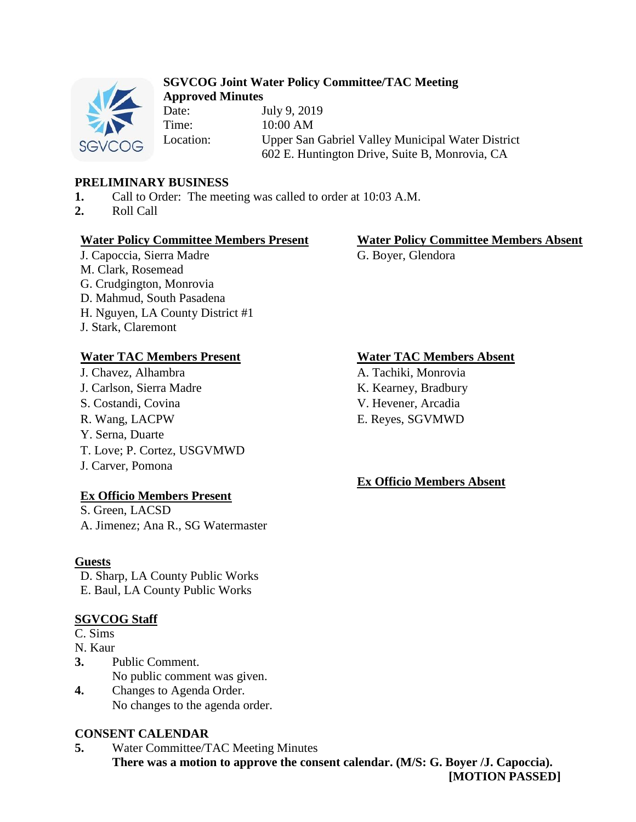

### **SGVCOG Joint Water Policy Committee/TAC Meeting Approved Minutes**

Date: July 9, 2019 Time: 10:00 AM Location: Upper San Gabriel Valley Municipal Water District 602 E. Huntington Drive, Suite B, Monrovia, CA

## **PRELIMINARY BUSINESS**

- **1.** Call to Order: The meeting was called to order at 10:03 A.M.
- **2.** Roll Call

## **Water Policy Committee Members Present Water Policy Committee Members Absent**

J. Capoccia, Sierra Madre M. Clark, Rosemead G. Crudgington, Monrovia D. Mahmud, South Pasadena H. Nguyen, LA County District #1 J. Stark, Claremont

## **Water TAC Members Present Water TAC Members Absent**

J. Chavez, Alhambra A. Tachiki, Monrovia J. Carlson, Sierra Madre K. Kearney, Bradbury S. Costandi, Covina V. Hevener, Arcadia R. Wang, LACPW E. Reyes, SGVMWD Y. Serna, Duarte T. Love; P. Cortez, USGVMWD J. Carver, Pomona

## **Ex Officio Members Present**

S. Green, LACSD A. Jimenez; Ana R., SG Watermaster

## **Guests**

D. Sharp, LA County Public Works E. Baul, LA County Public Works

# **SGVCOG Staff**

- C. Sims
- N. Kaur
- **3.** Public Comment. No public comment was given.
- **4.** Changes to Agenda Order. No changes to the agenda order.

## **CONSENT CALENDAR**

**5.** Water Committee/TAC Meeting Minutes **There was a motion to approve the consent calendar. (M/S: G. Boyer /J. Capoccia). [MOTION PASSED]**

G. Boyer, Glendora

## **Ex Officio Members Absent**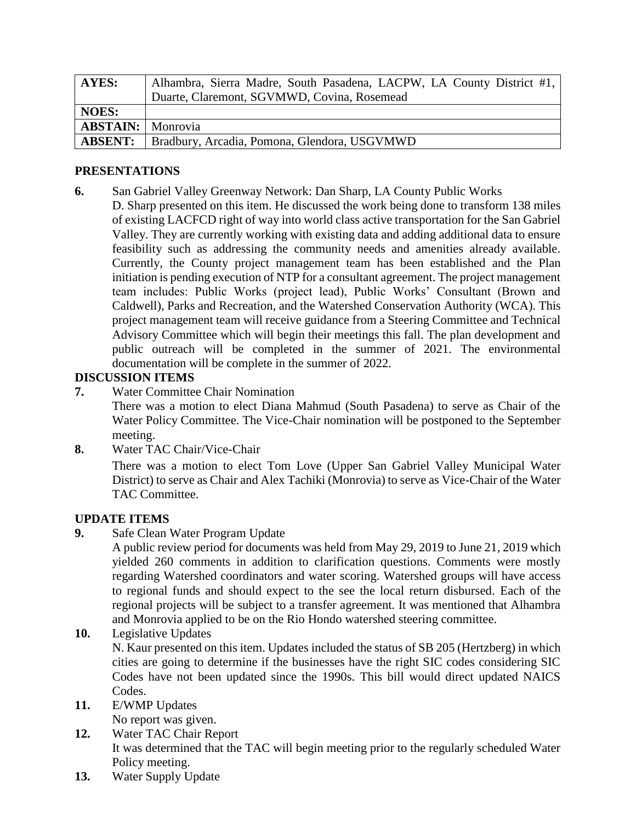| <b>AYES:</b>             | Alhambra, Sierra Madre, South Pasadena, LACPW, LA County District #1, |
|--------------------------|-----------------------------------------------------------------------|
|                          | Duarte, Claremont, SGVMWD, Covina, Rosemead                           |
| <b>NOES:</b>             |                                                                       |
| <b>ABSTAIN:</b> Monrovia |                                                                       |
| <b>ABSENT:</b>           | Bradbury, Arcadia, Pomona, Glendora, USGVMWD                          |

## **PRESENTATIONS**

- **6.** San Gabriel Valley Greenway Network: Dan Sharp, LA County Public Works
- D. Sharp presented on this item. He discussed the work being done to transform 138 miles of existing LACFCD right of way into world class active transportation for the San Gabriel Valley. They are currently working with existing data and adding additional data to ensure feasibility such as addressing the community needs and amenities already available. Currently, the County project management team has been established and the Plan initiation is pending execution of NTP for a consultant agreement. The project management team includes: Public Works (project lead), Public Works' Consultant (Brown and Caldwell), Parks and Recreation, and the Watershed Conservation Authority (WCA). This project management team will receive guidance from a Steering Committee and Technical Advisory Committee which will begin their meetings this fall. The plan development and public outreach will be completed in the summer of 2021. The environmental documentation will be complete in the summer of 2022.

## **DISCUSSION ITEMS**

**7.** Water Committee Chair Nomination

There was a motion to elect Diana Mahmud (South Pasadena) to serve as Chair of the Water Policy Committee. The Vice-Chair nomination will be postponed to the September meeting.

**8.** Water TAC Chair/Vice-Chair

There was a motion to elect Tom Love (Upper San Gabriel Valley Municipal Water District) to serve as Chair and Alex Tachiki (Monrovia) to serve as Vice-Chair of the Water TAC Committee.

# **UPDATE ITEMS**

**9.** Safe Clean Water Program Update

A public review period for documents was held from May 29, 2019 to June 21, 2019 which yielded 260 comments in addition to clarification questions. Comments were mostly regarding Watershed coordinators and water scoring. Watershed groups will have access to regional funds and should expect to the see the local return disbursed. Each of the regional projects will be subject to a transfer agreement. It was mentioned that Alhambra and Monrovia applied to be on the Rio Hondo watershed steering committee.

**10.** Legislative Updates

N. Kaur presented on this item. Updates included the status of SB 205 (Hertzberg) in which cities are going to determine if the businesses have the right SIC codes considering SIC Codes have not been updated since the 1990s. This bill would direct updated NAICS Codes.

**11.** E/WMP Updates

No report was given.

- **12.** Water TAC Chair Report It was determined that the TAC will begin meeting prior to the regularly scheduled Water Policy meeting.
- **13.** Water Supply Update